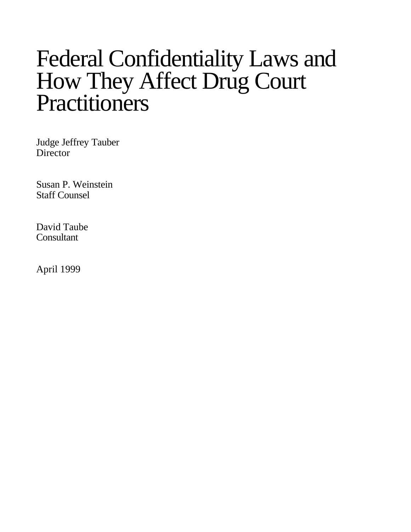# Federal Confidentiality Laws and How They Affect Drug Court **Practitioners**

Judge Jeffrey Tauber **Director** 

Susan P. Weinstein Staff Counsel

David Taube Consultant

April 1999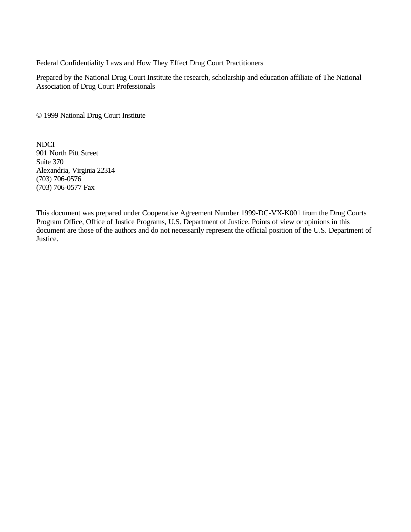Federal Confidentiality Laws and How They Effect Drug Court Practitioners

Prepared by the National Drug Court Institute the research, scholarship and education affiliate of The National Association of Drug Court Professionals

© 1999 National Drug Court Institute

NDCI 901 North Pitt Street Suite 370 Alexandria, Virginia 22314 (703) 706-0576 (703) 706-0577 Fax

This document was prepared under Cooperative Agreement Number 1999-DC-VX-K001 from the Drug Courts Program Office, Office of Justice Programs, U.S. Department of Justice. Points of view or opinions in this document are those of the authors and do not necessarily represent the official position of the U.S. Department of Justice.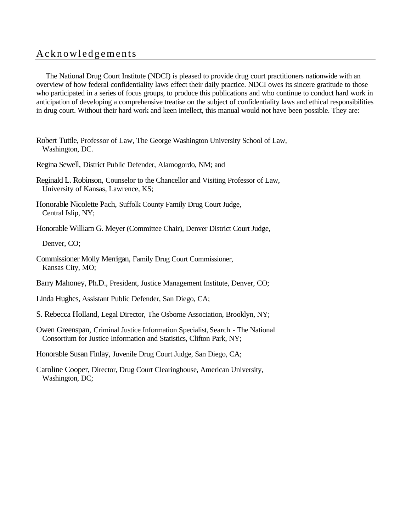# Acknowledgements

The National Drug Court Institute (NDCI) is pleased to provide drug court practitioners nationwide with an overview of how federal confidentiality laws effect their daily practice. NDCI owes its sincere gratitude to those who participated in a series of focus groups, to produce this publications and who continue to conduct hard work in anticipation of developing a comprehensive treatise on the subject of confidentiality laws and ethical responsibilities in drug court. Without their hard work and keen intellect, this manual would not have been possible. They are:

- Robert Tuttle, Professor of Law, The George Washington University School of Law, Washington, DC.
- Regina Sewell, District Public Defender, Alamogordo, NM; and
- Reginald L. Robinson, Counselor to the Chancellor and Visiting Professor of Law, University of Kansas, Lawrence, KS;
- Honorable Nicolette Pach, Suffolk County Family Drug Court Judge, Central Islip, NY;
- Honorable William G. Meyer (Committee Chair), Denver District Court Judge,

Denver, CO;

- Commissioner Molly Merrigan, Family Drug Court Commissioner, Kansas City, MO;
- Barry Mahoney, Ph.D., President, Justice Management Institute, Denver, CO;
- Linda Hughes, Assistant Public Defender, San Diego, CA;
- S. Rebecca Holland, Legal Director, The Osborne Association, Brooklyn, NY;
- Owen Greenspan, Criminal Justice Information Specialist, Search The National Consortium for Justice Information and Statistics, Clifton Park, NY;
- Honorable Susan Finlay, Juvenile Drug Court Judge, San Diego, CA;
- Caroline Cooper, Director, Drug Court Clearinghouse, American University, Washington, DC;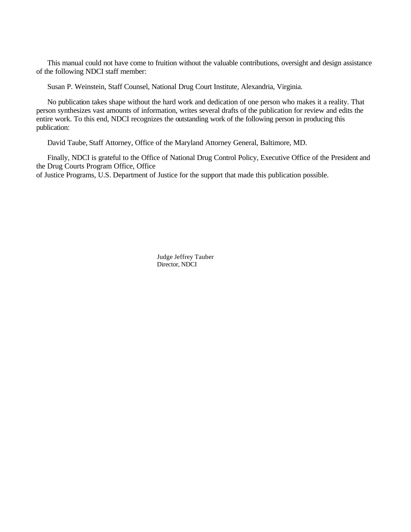This manual could not have come to fruition without the valuable contributions, oversight and design assistance of the following NDCI staff member:

Susan P. Weinstein, Staff Counsel, National Drug Court Institute, Alexandria, Virginia.

No publication takes shape without the hard work and dedication of one person who makes it a reality. That person synthesizes vast amounts of information, writes several drafts of the publication for review and edits the entire work. To this end, NDCI recognizes the outstanding work of the following person in producing this publication:

David Taube, Staff Attorney, Office of the Maryland Attorney General, Baltimore, MD.

Finally, NDCI is grateful to the Office of National Drug Control Policy, Executive Office of the President and the Drug Courts Program Office, Office of Justice Programs, U.S. Department of Justice for the support that made this publication possible.

> Judge Jeffrey Tauber Director, NDCI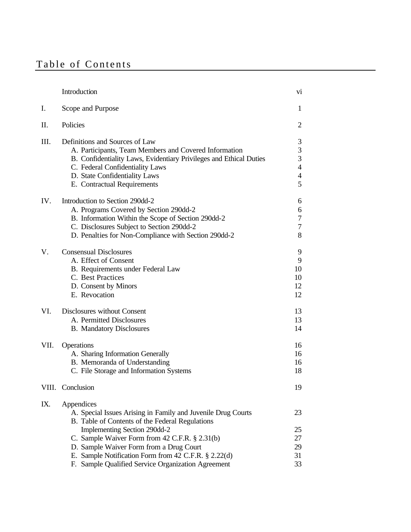# Table of Contents

| Introduction                                                                                                                                                                                                                                                                                                       | vi                                                   |
|--------------------------------------------------------------------------------------------------------------------------------------------------------------------------------------------------------------------------------------------------------------------------------------------------------------------|------------------------------------------------------|
| Scope and Purpose                                                                                                                                                                                                                                                                                                  | 1                                                    |
| Policies                                                                                                                                                                                                                                                                                                           | $\overline{2}$                                       |
| Definitions and Sources of Law<br>A. Participants, Team Members and Covered Information<br>B. Confidentiality Laws, Evidentiary Privileges and Ethical Duties<br>C. Federal Confidentiality Laws<br>D. State Confidentiality Laws<br>E. Contractual Requirements                                                   | 3<br>3<br>3<br>$\overline{4}$<br>$\overline{4}$<br>5 |
| Introduction to Section 290dd-2<br>A. Programs Covered by Section 290dd-2<br>B. Information Within the Scope of Section 290dd-2<br>C. Disclosures Subject to Section 290dd-2<br>D. Penalties for Non-Compliance with Section 290dd-2                                                                               | 6<br>6<br>7<br>7<br>8                                |
| <b>Consensual Disclosures</b><br>A. Effect of Consent<br>B. Requirements under Federal Law<br>C. Best Practices<br>D. Consent by Minors<br>E. Revocation                                                                                                                                                           | 9<br>9<br>10<br>10<br>12<br>12                       |
| <b>Disclosures without Consent</b><br>A. Permitted Disclosures<br><b>B.</b> Mandatory Disclosures                                                                                                                                                                                                                  | 13<br>13<br>14                                       |
| Operations<br>A. Sharing Information Generally<br>B. Memoranda of Understanding<br>C. File Storage and Information Systems                                                                                                                                                                                         | 16<br>16<br>16<br>18                                 |
| VIII.<br>Conclusion                                                                                                                                                                                                                                                                                                | 19                                                   |
| Appendices<br>A. Special Issues Arising in Family and Juvenile Drug Courts<br>B. Table of Contents of the Federal Regulations<br>Implementing Section 290dd-2<br>C. Sample Waiver Form from 42 C.F.R. § 2.31(b)<br>D. Sample Waiver Form from a Drug Court<br>E. Sample Notification Form from 42 C.F.R. § 2.22(d) | 23<br>25<br>27<br>29<br>31<br>33                     |
|                                                                                                                                                                                                                                                                                                                    | F. Sample Qualified Service Organization Agreement   |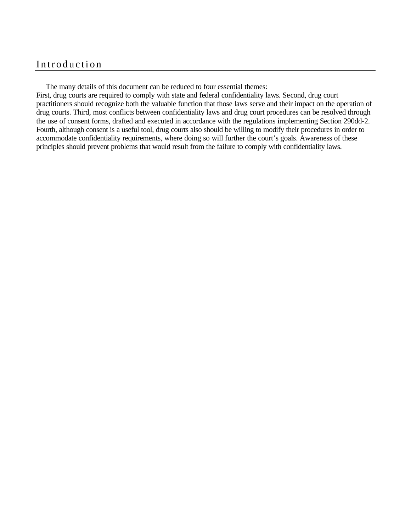# Introduction

The many details of this document can be reduced to four essential themes:

First, drug courts are required to comply with state and federal confidentiality laws. Second, drug court practitioners should recognize both the valuable function that those laws serve and their impact on the operation of drug courts. Third, most conflicts between confidentiality laws and drug court procedures can be resolved through the use of consent forms, drafted and executed in accordance with the regulations implementing Section 290dd-2. Fourth, although consent is a useful tool, drug courts also should be willing to modify their procedures in order to accommodate confidentiality requirements, where doing so will further the court's goals. Awareness of these principles should prevent problems that would result from the failure to comply with confidentiality laws.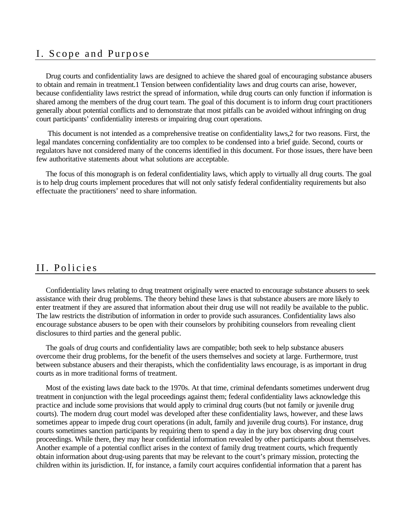# I. Scope and Purpose

Drug courts and confidentiality laws are designed to achieve the shared goal of encouraging substance abusers to obtain and remain in treatment.1 Tension between confidentiality laws and drug courts can arise, however, because confidentiality laws restrict the spread of information, while drug courts can only function if information is shared among the members of the drug court team. The goal of this document is to inform drug court practitioners generally about potential conflicts and to demonstrate that most pitfalls can be avoided without infringing on drug court participants' confidentiality interests or impairing drug court operations.

 This document is not intended as a comprehensive treatise on confidentiality laws,2 for two reasons. First, the legal mandates concerning confidentiality are too complex to be condensed into a brief guide. Second, courts or regulators have not considered many of the concerns identified in this document. For those issues, there have been few authoritative statements about what solutions are acceptable.

The focus of this monograph is on federal confidentiality laws, which apply to virtually all drug courts. The goal is to help drug courts implement procedures that will not only satisfy federal confidentiality requirements but also effectuate the practitioners' need to share information.

## II. Policies

Confidentiality laws relating to drug treatment originally were enacted to encourage substance abusers to seek assistance with their drug problems. The theory behind these laws is that substance abusers are more likely to enter treatment if they are assured that information about their drug use will not readily be available to the public. The law restricts the distribution of information in order to provide such assurances. Confidentiality laws also encourage substance abusers to be open with their counselors by prohibiting counselors from revealing client disclosures to third parties and the general public.

The goals of drug courts and confidentiality laws are compatible; both seek to help substance abusers overcome their drug problems, for the benefit of the users themselves and society at large. Furthermore, trust between substance abusers and their therapists, which the confidentiality laws encourage, is as important in drug courts as in more traditional forms of treatment.

Most of the existing laws date back to the 1970s. At that time, criminal defendants sometimes underwent drug treatment in conjunction with the legal proceedings against them; federal confidentiality laws acknowledge this practice and include some provisions that would apply to criminal drug courts (but not family or juvenile drug courts). The modern drug court model was developed after these confidentiality laws, however, and these laws sometimes appear to impede drug court operations (in adult, family and juvenile drug courts). For instance, drug courts sometimes sanction participants by requiring them to spend a day in the jury box observing drug court proceedings. While there, they may hear confidential information revealed by other participants about themselves. Another example of a potential conflict arises in the context of family drug treatment courts, which frequently obtain information about drug-using parents that may be relevant to the court's primary mission, protecting the children within its jurisdiction. If, for instance, a family court acquires confidential information that a parent has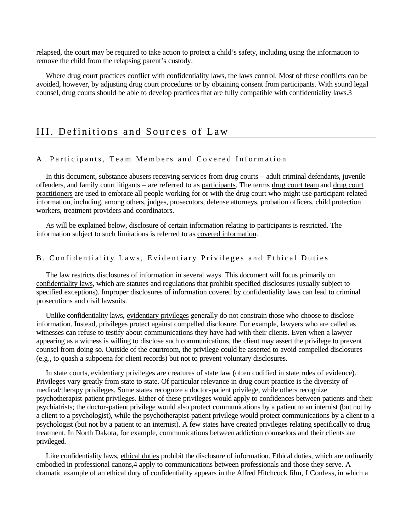relapsed, the court may be required to take action to protect a child's safety, including using the information to remove the child from the relapsing parent's custody.

Where drug court practices conflict with confidentiality laws, the laws control. Most of these conflicts can be avoided, however, by adjusting drug court procedures or by obtaining consent from participants. With sound legal counsel, drug courts should be able to develop practices that are fully compatible with confidentiality laws.3

## III. Definitions and Sources of Law

#### A. Participants, Team Members and Covered Information

In this document, substance abusers receiving servic es from drug courts – adult criminal defendants, juvenile offenders, and family court litigants – are referred to as participants. The terms drug court team and drug court practitioners are used to embrace all people working for or with the drug court who might use participant-related information, including, among others, judges, prosecutors, defense attorneys, probation officers, child protection workers, treatment providers and coordinators.

As will be explained below, disclosure of certain information relating to participants is restricted. The information subject to such limitations is referred to as covered information.

#### B. Confidentiality Laws, Evidentiary Privileges and Ethical Duties

The law restricts disclosures of information in several ways. This document will focus primarily on confidentiality laws, which are statutes and regulations that prohibit specified disclosures (usually subject to specified exceptions). Improper disclosures of information covered by confidentiality laws can lead to criminal prosecutions and civil lawsuits.

Unlike confidentiality laws, evidentiary privileges generally do not constrain those who choose to disclose information. Instead, privileges protect against compelled disclosure. For example, lawyers who are called as witnesses can refuse to testify about communications they have had with their clients. Even when a lawyer appearing as a witness is willing to disclose such communications, the client may assert the privilege to prevent counsel from doing so. Outside of the courtroom, the privilege could be asserted to avoid compelled disclosures (e.g., to quash a subpoena for client records) but not to prevent voluntary disclosures.

In state courts, evidentiary privileges are creatures of state law (often codified in state rules of evidence). Privileges vary greatly from state to state. Of particular relevance in drug court practice is the diversity of medical/therapy privileges. Some states recognize a doctor-patient privilege, while others recognize psychotherapist-patient privileges. Either of these privileges would apply to confidences between patients and their psychiatrists; the doctor-patient privilege would also protect communications by a patient to an internist (but not by a client to a psychologist), while the psychotherapist-patient privilege would protect communications by a client to a psychologist (but not by a patient to an internist). A few states have created privileges relating specifically to drug treatment. In North Dakota, for example, communications between addiction counselors and their clients are privileged.

Like confidentiality laws, ethical duties prohibit the disclosure of information. Ethical duties, which are ordinarily embodied in professional canons,4 apply to communications between professionals and those they serve. A dramatic example of an ethical duty of confidentiality appears in the Alfred Hitchcock film, I Confess, in which a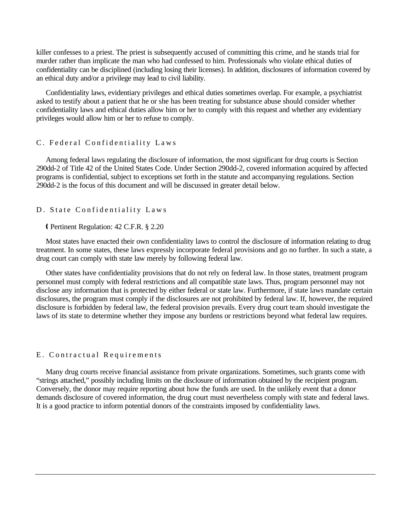killer confesses to a priest. The priest is subsequently accused of committing this crime, and he stands trial for murder rather than implicate the man who had confessed to him. Professionals who violate ethical duties of confidentiality can be disciplined (including losing their licenses). In addition, disclosures of information covered by an ethical duty and/or a privilege may lead to civil liability.

Confidentiality laws, evidentiary privileges and ethical duties sometimes overlap. For example, a psychiatrist asked to testify about a patient that he or she has been treating for substance abuse should consider whether confidentiality laws and ethical duties allow him or her to comply with this request and whether any evidentiary privileges would allow him or her to refuse to comply.

#### C. Federal Confidentiality Laws

Among federal laws regulating the disclosure of information, the most significant for drug courts is Section 290dd-2 of Title 42 of the United States Code. Under Section 290dd-2, covered information acquired by affected programs is confidential, subject to exceptions set forth in the statute and accompanying regulations. Section 290dd-2 is the focus of this document and will be discussed in greater detail below.

#### D. State Confidentiality Laws

#### Ç Pertinent Regulation: 42 C.F.R. § 2.20

Most states have enacted their own confidentiality laws to control the disclosure of information relating to drug treatment. In some states, these laws expressly incorporate federal provisions and go no further. In such a state, a drug court can comply with state law merely by following federal law.

Other states have confidentiality provisions that do not rely on federal law. In those states, treatment program personnel must comply with federal restrictions and all compatible state laws. Thus, program personnel may not disclose any information that is protected by either federal or state law. Furthermore, if state laws mandate certain disclosures, the program must comply if the disclosures are not prohibited by federal law. If, however, the required disclosure is forbidden by federal law, the federal provision prevails. Every drug court team should investigate the laws of its state to determine whether they impose any burdens or restrictions beyond what federal law requires.

#### E. Contractual Requirements

Many drug courts receive financial assistance from private organizations. Sometimes, such grants come with "strings attached," possibly including limits on the disclosure of information obtained by the recipient program. Conversely, the donor may require reporting about how the funds are used. In the unlikely event that a donor demands disclosure of covered information, the drug court must nevertheless comply with state and federal laws. It is a good practice to inform potential donors of the constraints imposed by confidentiality laws.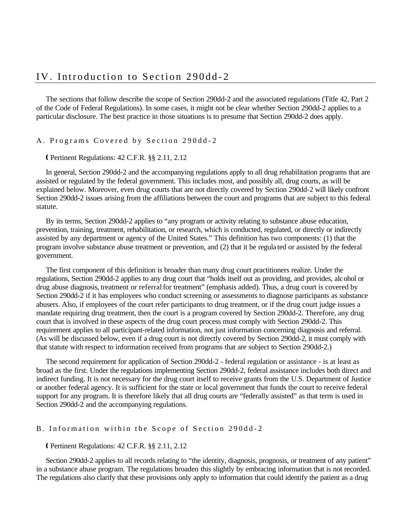The sections that follow describe the scope of Section 290dd-2 and the associated regulations (Title 42, Part 2 of the Code of Federal Regulations). In some cases, it might not be clear whether Section 290dd-2 applies to a particular disclosure. The best practice in those situations is to presume that Section 290dd-2 does apply.

A. Programs Covered by Section 290dd - 2

Ç Pertinent Regulations: 42 C.F.R. §§ 2.11, 2.12

In general, Section 290dd-2 and the accompanying regulations apply to all drug rehabilitation programs that are assisted or regulated by the federal government. This includes most, and possibly all, drug courts, as will be explained below. Moreover, even drug courts that are not directly covered by Section 290dd-2 will likely confront Section 290dd-2 issues arising from the affiliations between the court and programs that are subject to this federal statute.

By its terms, Section 290dd-2 applies to "any program or activity relating to substance abuse education, prevention, training, treatment, rehabilitation, or research, which is conducted, regulated, or directly or indirectly assisted by any department or agency of the United States." This definition has two components: (1) that the program involve substance abuse treatment or prevention, and (2) that it be regula ted or assisted by the federal government.

The first component of this definition is broader than many drug court practitioners realize. Under the regulations, Section 290dd-2 applies to any drug court that "holds itself out as providing, and provides, alcohol or drug abuse diagnosis, treatment or referral for treatment" (emphasis added). Thus, a drug court is covered by Section 290dd-2 if it has employees who conduct screening or assessments to diagnose participants as substance abusers. Also, if employees of the court refer participants to drug treatment, or if the drug court judge issues a mandate requiring drug treatment, then the court is a program covered by Section 290dd-2. Therefore, any drug court that is involved in these aspects of the drug court process must comply with Section 290dd-2. This requirement applies to all participant-related information, not just information concerning diagnosis and referral. (As will be discussed below, even if a drug court is not directly covered by Section 290dd-2, it must comply with that statute with respect to information received from programs that are subject to Section 290dd-2.)

The second requirement for application of Section 290dd-2 - federal regulation or assistance - is at least as broad as the first. Under the regulations implementing Section 290dd-2, federal assistance includes both direct and indirect funding. It is not necessary for the drug court itself to receive grants from the U.S. Department of Justice or another federal agency. It is sufficient for the state or local government that funds the court to receive federal support for any program. It is therefore likely that all drug courts are "federally assisted" as that term is used in Section 290dd-2 and the accompanying regulations.

#### B. Information within the Scope of Section 290dd-2

#### Ç Pertinent Regulations: 42 C.F.R. §§ 2.11, 2.12

Section 290dd-2 applies to all records relating to "the identity, diagnosis, prognosis, or treatment of any patient" in a substance abuse program. The regulations broaden this slightly by embracing information that is not recorded. The regulations also clarify that these provisions only apply to information that could identify the patient as a drug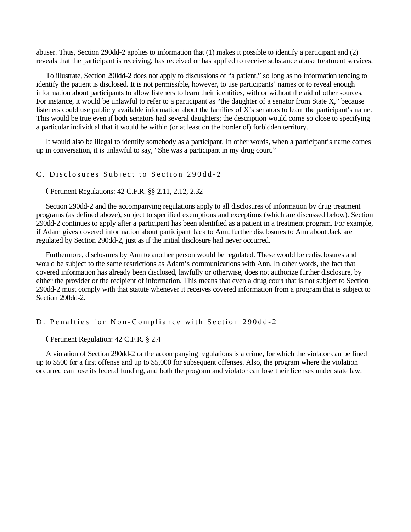abuser. Thus, Section 290dd-2 applies to information that (1) makes it possible to identify a participant and (2) reveals that the participant is receiving, has received or has applied to receive substance abuse treatment services.

To illustrate, Section 290dd-2 does not apply to discussions of "a patient," so long as no information tending to identify the patient is disclosed. It is not permissible, however, to use participants' names or to reveal enough information about participants to allow listeners to learn their identities, with or without the aid of other sources. For instance, it would be unlawful to refer to a participant as "the daughter of a senator from State X," because listeners could use publicly available information about the families of X's senators to learn the participant's name. This would be true even if both senators had several daughters; the description would come so close to specifying a particular individual that it would be within (or at least on the border of) forbidden territory.

It would also be illegal to identify somebody as a participant. In other words, when a participant's name comes up in conversation, it is unlawful to say, "She was a participant in my drug court."

#### C. Disclosures Subject to Section 290dd - 2

Ç Pertinent Regulations: 42 C.F.R. §§ 2.11, 2.12, 2.32

Section 290dd-2 and the accompanying regulations apply to all disclosures of information by drug treatment programs (as defined above), subject to specified exemptions and exceptions (which are discussed below). Section 290dd-2 continues to apply after a participant has been identified as a patient in a treatment program. For example, if Adam gives covered information about participant Jack to Ann, further disclosures to Ann about Jack are regulated by Section 290dd-2, just as if the initial disclosure had never occurred.

Furthermore, disclosures by Ann to another person would be regulated. These would be redisclosures and would be subject to the same restrictions as Adam's communications with Ann. In other words, the fact that covered information has already been disclosed, lawfully or otherwise, does not authorize further disclosure, by either the provider or the recipient of information. This means that even a drug court that is not subject to Section 290dd-2 must comply with that statute whenever it receives covered information from a program that is subject to Section 290dd-2.

#### D. Penalties for Non-Compliance with Section 290dd-2

Ç Pertinent Regulation: 42 C.F.R. § 2.4

A violation of Section 290dd-2 or the accompanying regulations is a crime, for which the violator can be fined up to \$500 for a first offense and up to \$5,000 for subsequent offenses. Also, the program where the violation occurred can lose its federal funding, and both the program and violator can lose their licenses under state law.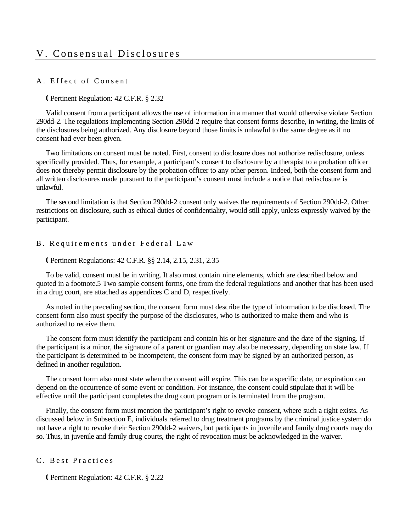# V. Consensual Disclosures

#### A. Effect of Consent

#### Ç Pertinent Regulation: 42 C.F.R. § 2.32

Valid consent from a participant allows the use of information in a manner that would otherwise violate Section 290dd-2. The regulations implementing Section 290dd-2 require that consent forms describe, in writing, the limits of the disclosures being authorized. Any disclosure beyond those limits is unlawful to the same degree as if no consent had ever been given.

Two limitations on consent must be noted. First, consent to disclosure does not authorize redisclosure, unless specifically provided. Thus, for example, a participant's consent to disclosure by a therapist to a probation officer does not thereby permit disclosure by the probation officer to any other person. Indeed, both the consent form and all written disclosures made pursuant to the participant's consent must include a notice that redisclosure is unlawful.

The second limitation is that Section 290dd-2 consent only waives the requirements of Section 290dd-2. Other restrictions on disclosure, such as ethical duties of confidentiality, would still apply, unless expressly waived by the participant.

#### B. Requirements under Federal Law

#### Ç Pertinent Regulations: 42 C.F.R. §§ 2.14, 2.15, 2.31, 2.35

To be valid, consent must be in writing. It also must contain nine elements, which are described below and quoted in a footnote.5 Two sample consent forms, one from the federal regulations and another that has been used in a drug court, are attached as appendices C and D, respectively.

As noted in the preceding section, the consent form must describe the type of information to be disclosed. The consent form also must specify the purpose of the disclosures, who is authorized to make them and who is authorized to receive them.

The consent form must identify the participant and contain his or her signature and the date of the signing. If the participant is a minor, the signature of a parent or guardian may also be necessary, depending on state law. If the participant is determined to be incompetent, the consent form may be signed by an authorized person, as defined in another regulation.

The consent form also must state when the consent will expire. This can be a specific date, or expiration can depend on the occurrence of some event or condition. For instance, the consent could stipulate that it will be effective until the participant completes the drug court program or is terminated from the program.

Finally, the consent form must mention the participant's right to revoke consent, where such a right exists. As discussed below in Subsection E, individuals referred to drug treatment programs by the criminal justice system do not have a right to revoke their Section 290dd-2 waivers, but participants in juvenile and family drug courts may do so. Thus, in juvenile and family drug courts, the right of revocation must be acknowledged in the waiver.

#### C. Best Practices

Ç Pertinent Regulation: 42 C.F.R. § 2.22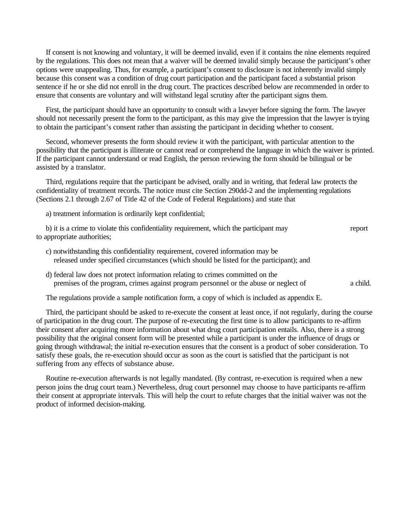If consent is not knowing and voluntary, it will be deemed invalid, even if it contains the nine elements required by the regulations. This does not mean that a waiver will be deemed invalid simply because the participant's other options were unappealing. Thus, for example, a participant's consent to disclosure is not inherently invalid simply because this consent was a condition of drug court participation and the participant faced a substantial prison sentence if he or she did not enroll in the drug court. The practices described below are recommended in order to ensure that consents are voluntary and will withstand legal scrutiny after the participant signs them.

First, the participant should have an opportunity to consult with a lawyer before signing the form. The lawyer should not necessarily present the form to the participant, as this may give the impression that the lawyer is trying to obtain the participant's consent rather than assisting the participant in deciding whether to consent.

Second, whomever presents the form should review it with the participant, with particular attention to the possibility that the participant is illiterate or cannot read or comprehend the language in which the waiver is printed. If the participant cannot understand or read English, the person reviewing the form should be bilingual or be assisted by a translator.

Third, regulations require that the participant be advised, orally and in writing, that federal law protects the confidentiality of treatment records. The notice must cite Section 290dd-2 and the implementing regulations (Sections 2.1 through 2.67 of Title 42 of the Code of Federal Regulations) and state that

a) treatment information is ordinarily kept confidential;

| b) it is a crime to violate this confidentiality requirement, which the participant may | report |
|-----------------------------------------------------------------------------------------|--------|
| to appropriate authorities;                                                             |        |

- c) notwithstanding this confidentiality requirement, covered information may be released under specified circumstances (which should be listed for the participant); and
- d) federal law does not protect information relating to crimes committed on the premises of the program, crimes against program personnel or the abuse or neglect of a child.

The regulations provide a sample notification form, a copy of which is included as appendix E.

Third, the participant should be asked to re-execute the consent at least once, if not regularly, during the course of participation in the drug court. The purpose of re-executing the first time is to allow participants to re-affirm their consent after acquiring more information about what drug court participation entails. Also, there is a strong possibility that the original consent form will be presented while a participant is under the influence of drugs or going through withdrawal; the initial re-execution ensures that the consent is a product of sober consideration. To satisfy these goals, the re-execution should occur as soon as the court is satisfied that the participant is not suffering from any effects of substance abuse.

Routine re-execution afterwards is not legally mandated. (By contrast, re-execution is required when a new person joins the drug court team.) Nevertheless, drug court personnel may choose to have participants re-affirm their consent at appropriate intervals. This will help the court to refute charges that the initial waiver was not the product of informed decision-making.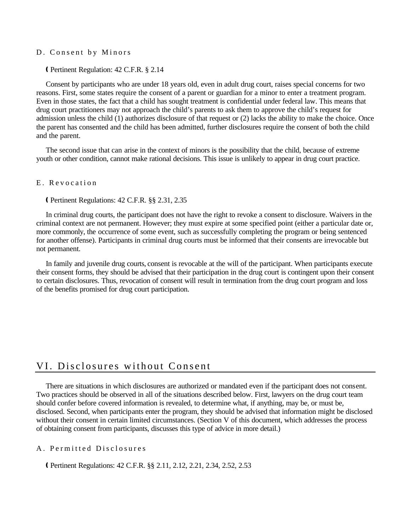#### D. Consent by Minors

Ç Pertinent Regulation: 42 C.F.R. § 2.14

Consent by participants who are under 18 years old, even in adult drug court, raises special concerns for two reasons. First, some states require the consent of a parent or guardian for a minor to enter a treatment program. Even in those states, the fact that a child has sought treatment is confidential under federal law. This means that drug court practitioners may not approach the child's parents to ask them to approve the child's request for admission unless the child (1) authorizes disclosure of that request or (2) lacks the ability to make the choice. Once the parent has consented and the child has been admitted, further disclosures require the consent of both the child and the parent.

The second issue that can arise in the context of minors is the possibility that the child, because of extreme youth or other condition, cannot make rational decisions. This issue is unlikely to appear in drug court practice.

#### E. Revocation

Ç Pertinent Regulations: 42 C.F.R. §§ 2.31, 2.35

In criminal drug courts, the participant does not have the right to revoke a consent to disclosure. Waivers in the criminal context are not permanent. However; they must expire at some specified point (either a particular date or, more commonly, the occurrence of some event, such as successfully completing the program or being sentenced for another offense). Participants in criminal drug courts must be informed that their consents are irrevocable but not permanent.

In family and juvenile drug courts, consent is revocable at the will of the participant. When participants execute their consent forms, they should be advised that their participation in the drug court is contingent upon their consent to certain disclosures. Thus, revocation of consent will result in termination from the drug court program and loss of the benefits promised for drug court participation.

## VI. Disclosures without Consent

There are situations in which disclosures are authorized or mandated even if the participant does not consent. Two practices should be observed in all of the situations described below. First, lawyers on the drug court team should confer before covered information is revealed, to determine what, if anything, may be, or must be, disclosed. Second, when participants enter the program, they should be advised that information might be disclosed without their consent in certain limited circumstances. (Section V of this document, which addresses the process of obtaining consent from participants, discusses this type of advice in more detail.)

#### A. Permitted Disclosures

Ç Pertinent Regulations: 42 C.F.R. §§ 2.11, 2.12, 2.21, 2.34, 2.52, 2.53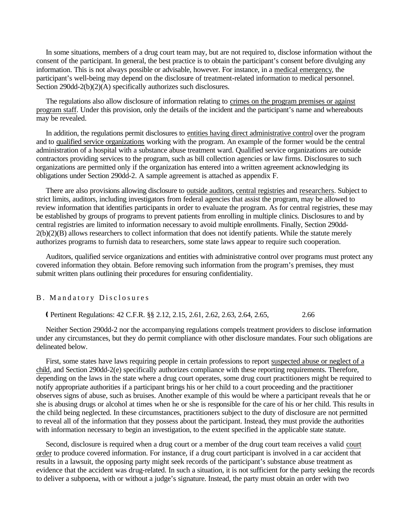In some situations, members of a drug court team may, but are not required to, disclose information without the consent of the participant. In general, the best practice is to obtain the participant's consent before divulging any information. This is not always possible or advisable, however. For instance, in a medical emergency, the participant's well-being may depend on the disclosure of treatment-related information to medical personnel. Section 290dd-2(b)(2)(A) specifically authorizes such disclosures.

The regulations also allow disclosure of information relating to crimes on the program premises or against program staff. Under this provision, only the details of the incident and the participant's name and whereabouts may be revealed.

In addition, the regulations permit disclosures to entities having direct administrative control over the program and to qualified service organizations working with the program. An example of the former would be the central administration of a hospital with a substance abuse treatment ward. Qualified service organizations are outside contractors providing services to the program, such as bill collection agencies or law firms. Disclosures to such organizations are permitted only if the organization has entered into a written agreement acknowledging its obligations under Section 290dd-2. A sample agreement is attached as appendix F.

There are also provisions allowing disclosure to outside auditors, central registries and researchers. Subject to strict limits, auditors, including investigators from federal agencies that assist the program, may be allowed to review information that identifies participants in order to evaluate the program. As for central registries, these may be established by groups of programs to prevent patients from enrolling in multiple clinics. Disclosures to and by central registries are limited to information necessary to avoid multiple enrollments. Finally, Section 290dd-2(b)(2)(B) allows researchers to collect information that does not identify patients. While the statute merely authorizes programs to furnish data to researchers, some state laws appear to require such cooperation.

Auditors, qualified service organizations and entities with administrative control over programs must protect any covered information they obtain. Before removing such information from the program's premises, they must submit written plans outlining their procedures for ensuring confidentiality.

#### B. Mandatory Disclosures

Ç Pertinent Regulations: 42 C.F.R. §§ 2.12, 2.15, 2.61, 2.62, 2.63, 2.64, 2.65, 2.66

Neither Section 290dd-2 nor the accompanying regulations compels treatment providers to disclose information under any circumstances, but they do permit compliance with other disclosure mandates. Four such obligations are delineated below.

First, some states have laws requiring people in certain professions to report suspected abuse or neglect of a child, and Section 290dd-2(e) specifically authorizes compliance with these reporting requirements. Therefore, depending on the laws in the state where a drug court operates, some drug court practitioners might be required to notify appropriate authorities if a participant brings his or her child to a court proceeding and the practitioner observes signs of abuse, such as bruises. Another example of this would be where a participant reveals that he or she is abusing drugs or alcohol at times when he or she is responsible for the care of his or her child. This results in the child being neglected. In these circumstances, practitioners subject to the duty of disclosure are not permitted to reveal all of the information that they possess about the participant. Instead, they must provide the authorities with information necessary to begin an investigation, to the extent specified in the applicable state statute.

Second, disclosure is required when a drug court or a member of the drug court team receives a valid court order to produce covered information. For instance, if a drug court participant is involved in a car accident that results in a lawsuit, the opposing party might seek records of the participant's substance abuse treatment as evidence that the accident was drug-related. In such a situation, it is not sufficient for the party seeking the records to deliver a subpoena, with or without a judge's signature. Instead, the party must obtain an order with two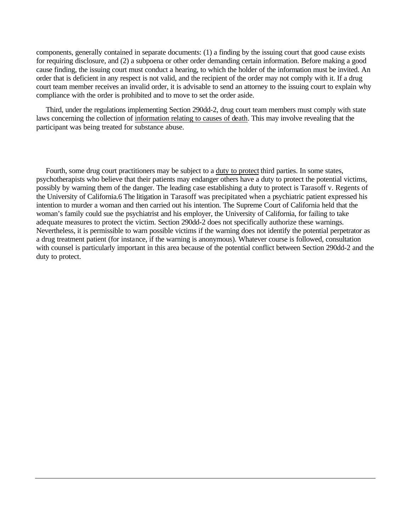components, generally contained in separate documents: (1) a finding by the issuing court that good cause exists for requiring disclosure, and (2) a subpoena or other order demanding certain information. Before making a good cause finding, the issuing court must conduct a hearing, to which the holder of the information must be invited. An order that is deficient in any respect is not valid, and the recipient of the order may not comply with it. If a drug court team member receives an invalid order, it is advisable to send an attorney to the issuing court to explain why compliance with the order is prohibited and to move to set the order aside.

Third, under the regulations implementing Section 290dd-2, drug court team members must comply with state laws concerning the collection of information relating to causes of death. This may involve revealing that the participant was being treated for substance abuse.

Fourth, some drug court practitioners may be subject to a duty to protect third parties. In some states, psychotherapists who believe that their patients may endanger others have a duty to protect the potential victims, possibly by warning them of the danger. The leading case establishing a duty to protect is Tarasoff v. Regents of the University of California.6 The litigation in Tarasoff was precipitated when a psychiatric patient expressed his intention to murder a woman and then carried out his intention. The Supreme Court of California held that the woman's family could sue the psychiatrist and his employer, the University of California, for failing to take adequate measures to protect the victim. Section 290dd-2 does not specifically authorize these warnings. Nevertheless, it is permissible to warn possible victims if the warning does not identify the potential perpetrator as a drug treatment patient (for instance, if the warning is anonymous). Whatever course is followed, consultation with counsel is particularly important in this area because of the potential conflict between Section 290dd-2 and the duty to protect.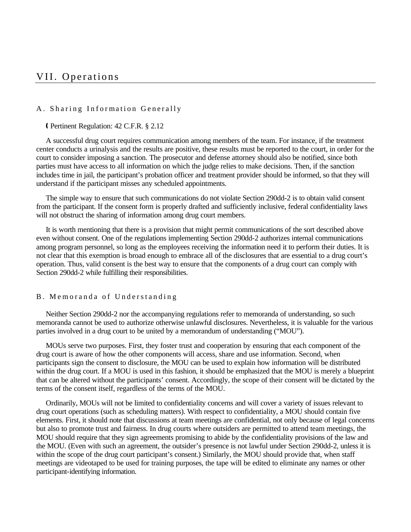# VII. Operations

#### A. Sharing Information Generally

#### Ç Pertinent Regulation: 42 C.F.R. § 2.12

A successful drug court requires communication among members of the team. For instance, if the treatment center conducts a urinalysis and the results are positive, these results must be reported to the court, in order for the court to consider imposing a sanction. The prosecutor and defense attorney should also be notified, since both parties must have access to all information on which the judge relies to make decisions. Then, if the sanction includes time in jail, the participant's probation officer and treatment provider should be informed, so that they will understand if the participant misses any scheduled appointments.

The simple way to ensure that such communications do not violate Section 290dd-2 is to obtain valid consent from the participant. If the consent form is properly drafted and sufficiently inclusive, federal confidentiality laws will not obstruct the sharing of information among drug court members.

It is worth mentioning that there is a provision that might permit communications of the sort described above even without consent. One of the regulations implementing Section 290dd-2 authorizes internal communications among program personnel, so long as the employees receiving the information need it to perform their duties. It is not clear that this exemption is broad enough to embrace all of the disclosures that are essential to a drug court's operation. Thus, valid consent is the best way to ensure that the components of a drug court can comply with Section 290dd-2 while fulfilling their responsibilities.

#### B. Memoranda of Understanding

Neither Section 290dd-2 nor the accompanying regulations refer to memoranda of understanding, so such memoranda cannot be used to authorize otherwise unlawful disclosures. Nevertheless, it is valuable for the various parties involved in a drug court to be united by a memorandum of understanding ("MOU").

MOUs serve two purposes. First, they foster trust and cooperation by ensuring that each component of the drug court is aware of how the other components will access, share and use information. Second, when participants sign the consent to disclosure, the MOU can be used to explain how information will be distributed within the drug court. If a MOU is used in this fashion, it should be emphasized that the MOU is merely a blueprint that can be altered without the participants' consent. Accordingly, the scope of their consent will be dictated by the terms of the consent itself, regardless of the terms of the MOU.

Ordinarily, MOUs will not be limited to confidentiality concerns and will cover a variety of issues relevant to drug court operations (such as scheduling matters). With respect to confidentiality, a MOU should contain five elements. First, it should note that discussions at team meetings are confidential, not only because of legal concerns but also to promote trust and fairness. In drug courts where outsiders are permitted to attend team meetings, the MOU should require that they sign agreements promising to abide by the confidentiality provisions of the law and the MOU. (Even with such an agreement, the outsider's presence is not lawful under Section 290dd-2, unless it is within the scope of the drug court participant's consent.) Similarly, the MOU should provide that, when staff meetings are videotaped to be used for training purposes, the tape will be edited to eliminate any names or other participant-identifying information.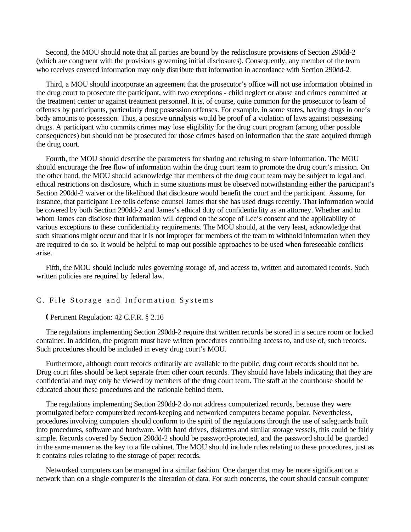Second, the MOU should note that all parties are bound by the redisclosure provisions of Section 290dd-2 (which are congruent with the provisions governing initial disclosures). Consequently, any member of the team who receives covered information may only distribute that information in accordance with Section 290dd-2.

Third, a MOU should incorporate an agreement that the prosecutor's office will not use information obtained in the drug court to prosecute the participant, with two exceptions - child neglect or abuse and crimes committed at the treatment center or against treatment personnel. It is, of course, quite common for the prosecutor to learn of offenses by participants, particularly drug possession offenses. For example, in some states, having drugs in one's body amounts to possession. Thus, a positive urinalysis would be proof of a violation of laws against possessing drugs. A participant who commits crimes may lose eligibility for the drug court program (among other possible consequences) but should not be prosecuted for those crimes based on information that the state acquired through the drug court.

Fourth, the MOU should describe the parameters for sharing and refusing to share information. The MOU should encourage the free flow of information within the drug court team to promote the drug court's mission. On the other hand, the MOU should acknowledge that members of the drug court team may be subject to legal and ethical restrictions on disclosure, which in some situations must be observed notwithstanding either the participant's Section 290dd-2 waiver or the likelihood that disclosure would benefit the court and the participant. Assume, for instance, that participant Lee tells defense counsel James that she has used drugs recently. That information would be covered by both Section 290dd-2 and James's ethical duty of confidentia lity as an attorney. Whether and to whom James can disclose that information will depend on the scope of Lee's consent and the applicability of various exceptions to these confidentiality requirements. The MOU should, at the very least, acknowledge that such situations might occur and that it is not improper for members of the team to withhold information when they are required to do so. It would be helpful to map out possible approaches to be used when foreseeable conflicts arise.

Fifth, the MOU should include rules governing storage of, and access to, written and automated records. Such written policies are required by federal law.

#### C. File Storage and Information Systems

#### Ç Pertinent Regulation: 42 C.F.R. § 2.16

The regulations implementing Section 290dd-2 require that written records be stored in a secure room or locked container. In addition, the program must have written procedures controlling access to, and use of, such records. Such procedures should be included in every drug court's MOU.

Furthermore, although court records ordinarily are available to the public, drug court records should not be. Drug court files should be kept separate from other court records. They should have labels indicating that they are confidential and may only be viewed by members of the drug court team. The staff at the courthouse should be educated about these procedures and the rationale behind them.

The regulations implementing Section 290dd-2 do not address computerized records, because they were promulgated before computerized record-keeping and networked computers became popular. Nevertheless, procedures involving computers should conform to the spirit of the regulations through the use of safeguards built into procedures, software and hardware. With hard drives, diskettes and similar storage vessels, this could be fairly simple. Records covered by Section 290dd-2 should be password-protected, and the password should be guarded in the same manner as the key to a file cabinet. The MOU should include rules relating to these procedures, just as it contains rules relating to the storage of paper records.

Networked computers can be managed in a similar fashion. One danger that may be more significant on a network than on a single computer is the alteration of data. For such concerns, the court should consult computer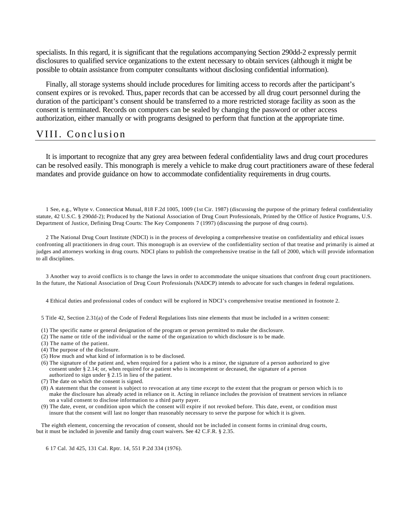specialists. In this regard, it is significant that the regulations accompanying Section 290dd-2 expressly permit disclosures to qualified service organizations to the extent necessary to obtain services (although it might be possible to obtain assistance from computer consultants without disclosing confidential information).

Finally, all storage systems should include procedures for limiting access to records after the participant's consent expires or is revoked. Thus, paper records that can be accessed by all drug court personnel during the duration of the participant's consent should be transferred to a more restricted storage facility as soon as the consent is terminated. Records on computers can be sealed by changing the password or other access authorization, either manually or with programs designed to perform that function at the appropriate time.

## VIII. Conclusion

It is important to recognize that any grey area between federal confidentiality laws and drug court procedures can be resolved easily. This monograph is merely a vehicle to make drug court practitioners aware of these federal mandates and provide guidance on how to accommodate confidentiality requirements in drug courts.

1 See, e.g., Whyte v. Connecticut Mutual, 818 F.2d 1005, 1009 (1st Cir. 1987) (discussing the purpose of the primary federal confidentiality statute, 42 U.S.C. § 290dd-2); Produced by the National Association of Drug Court Professionals, Printed by the Office of Justice Programs, U.S. Department of Justice, Defining Drug Courts: The Key Components 7 (1997) (discussing the purpose of drug courts).

2 The National Drug Court Institute (NDCI) is in the process of developing a comprehensive treatise on confidentiality and ethical issues confronting all practitioners in drug court. This monograph is an overview of the confidentiality section of that treatise and primarily is aimed at judges and attorneys working in drug courts. NDCI plans to publish the comprehensive treatise in the fall of 2000, which will provide information to all disciplines.

3 Another way to avoid conflicts is to change the laws in order to accommodate the unique situations that confront drug court practitioners. In the future, the National Association of Drug Court Professionals (NADCP) intends to advocate for such changes in federal regulations.

4 Ethical duties and professional codes of conduct will be explored in NDCI's comprehensive treatise mentioned in footnote 2.

5 Title 42, Section 2.31(a) of the Code of Federal Regulations lists nine elements that must be included in a written consent:

- (1) The specific name or general designation of the program or person permitted to make the disclosure.
- (2) The name or title of the individual or the name of the organization to which disclosure is to be made.
- (3) The name of the patient.
- (4) The purpose of the disclosure.
- (5) How much and what kind of information is to be disclosed.
- (6) The signature of the patient and, when required for a patient who is a minor, the signature of a person authorized to give consent under § 2.14; or, when required for a patient who is incompetent or deceased, the signature of a person authorized to sign under § 2.15 in lieu of the patient.
- (7) The date on which the consent is signed.
- (8) A statement that the consent is subject to revocation at any time except to the extent that the program or person which is to make the disclosure has already acted in reliance on it. Acting in reliance includes the provision of treatment services in reliance on a valid consent to disclose information to a third party payer.
- (9) The date, event, or condition upon which the consent will expire if not revoked before. This date, event, or condition must insure that the consent will last no longer than reasonably necessary to serve the purpose for which it is given.

The eighth element, concerning the revocation of consent, should not be included in consent forms in criminal drug courts, but it must be included in juvenile and family drug court waivers. See 42 C.F.R. § 2.35.

6 17 Cal. 3d 425, 131 Cal. Rptr. 14, 551 P.2d 334 (1976).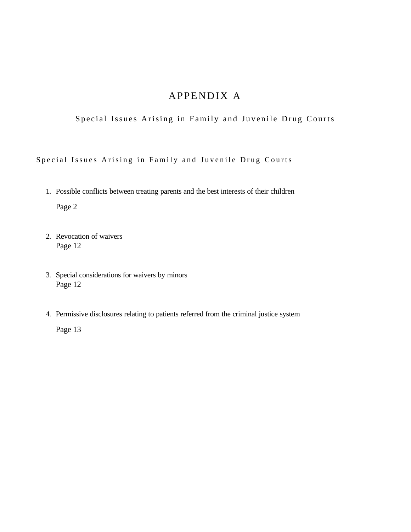# APPENDIX A

Special Issues Arising in Family and Juvenile Drug Courts

Special Issues Arising in Family and Juvenile Drug Courts

1. Possible conflicts between treating parents and the best interests of their children

Page 2

- 2. Revocation of waivers Page 12
- 3. Special considerations for waivers by minors Page 12
- 4. Permissive disclosures relating to patients referred from the criminal justice system

Page 13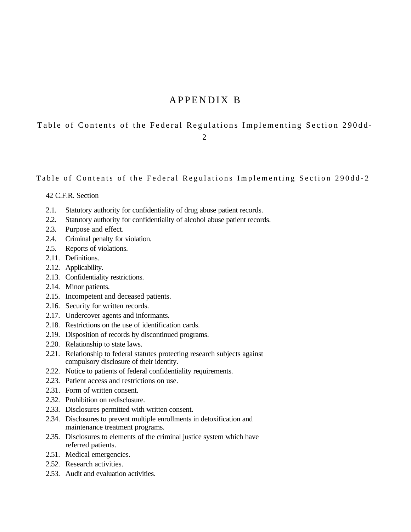# APPENDIX B

## Table of Contents of the Federal Regulations Implementing Section 290dd - 2

Table of Contents of the Federal Regulations Implementing Section 290dd-2

#### 42 C.F.R. Section

- 2.1. Statutory authority for confidentiality of drug abuse patient records.
- 2.2. Statutory authority for confidentiality of alcohol abuse patient records.
- 2.3. Purpose and effect.
- 2.4. Criminal penalty for violation.
- 2.5. Reports of violations.
- 2.11. Definitions.
- 2.12. Applicability.
- 2.13. Confidentiality restrictions.
- 2.14. Minor patients.
- 2.15. Incompetent and deceased patients.
- 2.16. Security for written records.
- 2.17. Undercover agents and informants.
- 2.18. Restrictions on the use of identification cards.
- 2.19. Disposition of records by discontinued programs.
- 2.20. Relationship to state laws.
- 2.21. Relationship to federal statutes protecting research subjects against compulsory disclosure of their identity.
- 2.22. Notice to patients of federal confidentiality requirements.
- 2.23. Patient access and restrictions on use.
- 2.31. Form of written consent.
- 2.32. Prohibition on redisclosure.
- 2.33. Disclosures permitted with written consent.
- 2.34. Disclosures to prevent multiple enrollments in detoxification and maintenance treatment programs.
- 2.35. Disclosures to elements of the criminal justice system which have referred patients.
- 2.51. Medical emergencies.
- 2.52. Research activities.
- 2.53. Audit and evaluation activities.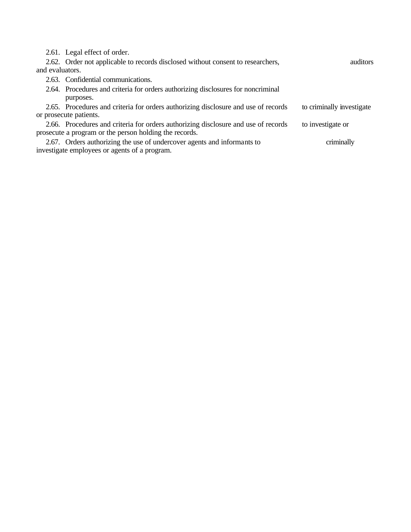2.61. Legal effect of order.

|                 | 2.62. Order not applicable to records disclosed without consent to researchers,    | auditors                  |
|-----------------|------------------------------------------------------------------------------------|---------------------------|
| and evaluators. |                                                                                    |                           |
|                 | 2.63. Confidential communications.                                                 |                           |
|                 | 2.64. Procedures and criteria for orders authorizing disclosures for noncriminal   |                           |
|                 | purposes.                                                                          |                           |
|                 | 2.65. Procedures and criteria for orders authorizing disclosure and use of records | to criminally investigate |
|                 | or prosecute patients.                                                             |                           |
|                 | 2.66. Procedures and criteria for orders authorizing disclosure and use of records | to investigate or         |
|                 | prosecute a program or the person holding the records.                             |                           |
|                 | 2.67. Orders authorizing the use of undercover agents and informants to            | criminally                |
|                 | investigate employees or agents of a program.                                      |                           |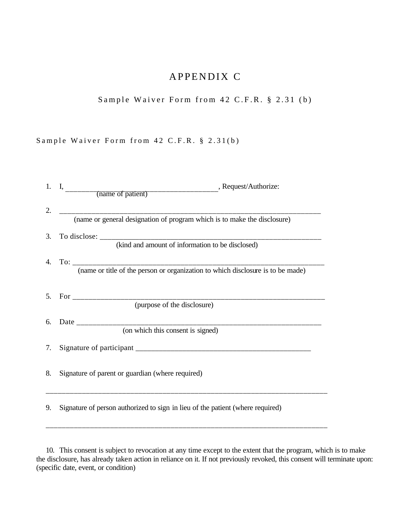# APPENDIX C

Sample Waiver Form from 42 C.F.R. § 2.31 (b)

Sample Waiver Form from 42 C.F.R. § 2.31(b)

| (name or general designation of program which is to make the disclosure)<br>(kind and amount of information to be disclosed) |
|------------------------------------------------------------------------------------------------------------------------------|
|                                                                                                                              |
|                                                                                                                              |
|                                                                                                                              |
|                                                                                                                              |
| (purpose of the disclosure)                                                                                                  |
| (on which this consent is signed)                                                                                            |
|                                                                                                                              |
| Signature of parent or guardian (where required)                                                                             |
| Signature of person authorized to sign in lieu of the patient (where required)                                               |
|                                                                                                                              |

10. This consent is subject to revocation at any time except to the extent that the program, which is to make the disclosure, has already taken action in reliance on it. If not previously revoked, this consent will terminate upon: (specific date, event, or condition)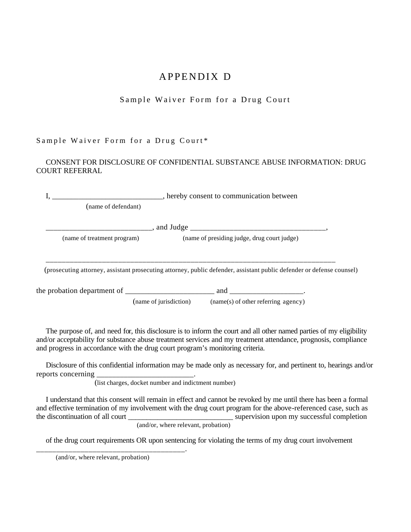# APPENDIX D

# Sample Waiver Form for a Drug Court

## Sample Waiver Form for a Drug Court\*

### CONSENT FOR DISCLOSURE OF CONFIDENTIAL SUBSTANCE ABUSE INFORMATION: DRUG COURT REFERRAL

|                             |                        | hereby consent to communication between                                                                               |  |  |
|-----------------------------|------------------------|-----------------------------------------------------------------------------------------------------------------------|--|--|
| (name of defendant)         |                        |                                                                                                                       |  |  |
|                             |                        |                                                                                                                       |  |  |
| (name of treatment program) |                        | (name of presiding judge, drug court judge)                                                                           |  |  |
|                             |                        | (prosecuting attorney, assistant prosecuting attorney, public defender, assistant public defender or defense counsel) |  |  |
|                             |                        | and __________________________.                                                                                       |  |  |
|                             | (name of jurisdiction) | (name(s) of other referring agency)                                                                                   |  |  |

The purpose of, and need for, this disclosure is to inform the court and all other named parties of my eligibility and/or acceptability for substance abuse treatment services and my treatment attendance, prognosis, compliance and progress in accordance with the drug court program's monitoring criteria.

Disclosure of this confidential information may be made only as necessary for, and pertinent to, hearings and/or reports concerning

(list charges, docket number and indictment number)

I understand that this consent will remain in effect and cannot be revoked by me until there has been a formal and effective termination of my involvement with the drug court program for the above-referenced case, such as the discontinuation of all court \_\_\_\_\_\_\_\_\_\_\_\_\_\_\_\_\_\_\_\_\_\_\_\_\_\_\_\_\_\_\_\_\_\_\_ supervision upon my successful completion (and/or, where relevant, probation)

of the drug court requirements OR upon sentencing for violating the terms of my drug court involvement

\_\_\_\_\_\_\_\_\_\_\_\_\_\_\_\_\_\_\_\_\_\_\_\_\_\_\_\_\_\_\_\_\_\_\_\_\_.

(and/or, where relevant, probation)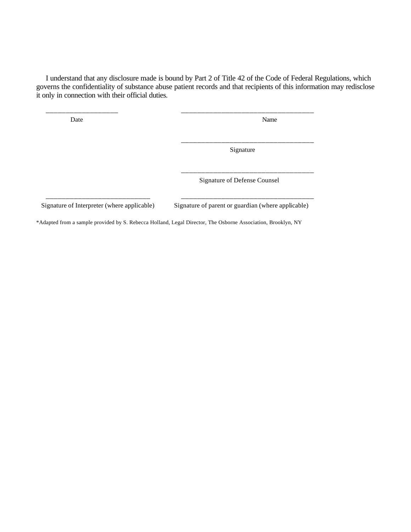I understand that any disclosure made is bound by Part 2 of Title 42 of the Code of Federal Regulations, which governs the confidentiality of substance abuse patient records and that recipients of this information may redisclose it only in connection with their official duties.

\_\_\_\_\_\_\_\_\_\_\_\_\_\_\_\_\_\_ \_\_\_\_\_\_\_\_\_\_\_\_\_\_\_\_\_\_\_\_\_\_\_\_\_\_\_\_\_\_\_\_\_

Date Name

\_\_\_\_\_\_\_\_\_\_\_\_\_\_\_\_\_\_\_\_\_\_\_\_\_\_\_\_\_\_\_\_\_ Signature

\_\_\_\_\_\_\_\_\_\_\_\_\_\_\_\_\_\_\_\_\_\_\_\_\_\_\_\_\_\_\_\_\_

Signature of Defense Counsel

Signature of Interpreter (where applicable) Signature of parent or guardian (where applicable)

\*Adapted from a sample provided by S. Rebecca Holland, Legal Director, The Osborne Association, Brooklyn, NY

\_\_\_\_\_\_\_\_\_\_\_\_\_\_\_\_\_\_\_\_\_\_\_\_\_\_ \_\_\_\_\_\_\_\_\_\_\_\_\_\_\_\_\_\_\_\_\_\_\_\_\_\_\_\_\_\_\_\_\_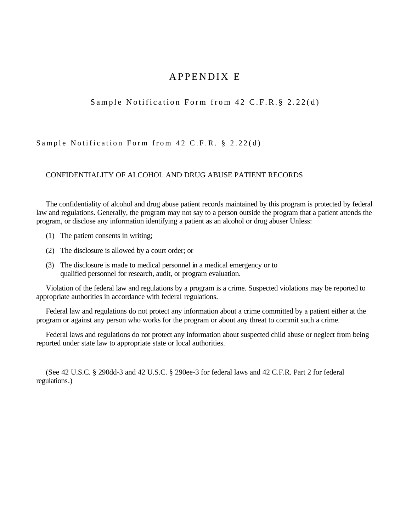# APPENDIX E

## Sample Notification Form from 42 C.F.R.§ 2.22(d)

Sample Notification Form from 42 C.F.R. § 2.22(d)

#### CONFIDENTIALITY OF ALCOHOL AND DRUG ABUSE PATIENT RECORDS

The confidentiality of alcohol and drug abuse patient records maintained by this program is protected by federal law and regulations. Generally, the program may not say to a person outside the program that a patient attends the program, or disclose any information identifying a patient as an alcohol or drug abuser Unless:

- (1) The patient consents in writing;
- (2) The disclosure is allowed by a court order; or
- (3) The disclosure is made to medical personnel in a medical emergency or to qualified personnel for research, audit, or program evaluation.

Violation of the federal law and regulations by a program is a crime. Suspected violations may be reported to appropriate authorities in accordance with federal regulations.

Federal law and regulations do not protect any information about a crime committed by a patient either at the program or against any person who works for the program or about any threat to commit such a crime.

Federal laws and regulations do not protect any information about suspected child abuse or neglect from being reported under state law to appropriate state or local authorities.

(See 42 U.S.C. § 290dd-3 and 42 U.S.C. § 290ee-3 for federal laws and 42 C.F.R. Part 2 for federal regulations.)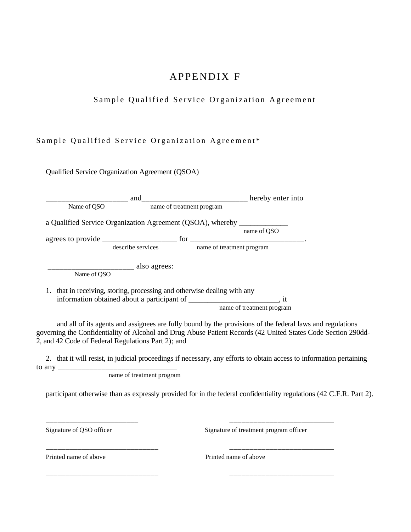# APPENDIX F

# Sample Qualified Service Organization Agreement

## Sample Qualified Service Organization Agreement\*

Qualified Service Organization Agreement (QSOA)

|                             | and                                                                   |                           | hereby enter into         |
|-----------------------------|-----------------------------------------------------------------------|---------------------------|---------------------------|
| Name of OSO                 | name of treatment program                                             |                           |                           |
|                             | a Qualified Service Organization Agreement (QSOA), whereby            |                           |                           |
|                             |                                                                       |                           | name of OSO               |
|                             | for                                                                   |                           |                           |
|                             | describe services                                                     | name of treatment program |                           |
| also agrees:<br>Name of OSO |                                                                       |                           |                           |
|                             | that in receiving, storing, processing and otherwise dealing with any |                           |                           |
|                             | information obtained about a participant of                           |                           | . it                      |
|                             |                                                                       |                           | name of treatment program |

and all of its agents and assignees are fully bound by the provisions of the federal laws and regulations governing the Confidentiality of Alcohol and Drug Abuse Patient Records (42 United States Code Section 290dd-2, and 42 Code of Federal Regulations Part 2); and

2. that it will resist, in judicial proceedings if necessary, any efforts to obtain access to information pertaining to any

\_\_\_\_\_\_\_\_\_\_\_\_\_\_\_\_\_\_\_\_\_\_\_ \_\_\_\_\_\_\_\_\_\_\_\_\_\_\_\_\_\_\_\_\_\_\_\_\_\_

\_\_\_\_\_\_\_\_\_\_\_\_\_\_\_\_\_\_\_\_\_\_\_\_\_\_\_\_ \_\_\_\_\_\_\_\_\_\_\_\_\_\_\_\_\_\_\_\_\_\_\_\_\_\_

\_\_\_\_\_\_\_\_\_\_\_\_\_\_\_\_\_\_\_\_\_\_\_\_\_\_\_\_ \_\_\_\_\_\_\_\_\_\_\_\_\_\_\_\_\_\_\_\_\_\_\_\_\_\_

name of treatment program

participant otherwise than as expressly provided for in the federal confidentiality regulations (42 C.F.R. Part 2).

Signature of QSO officer Signature of treatment program officer

Printed name of above Printed name of above